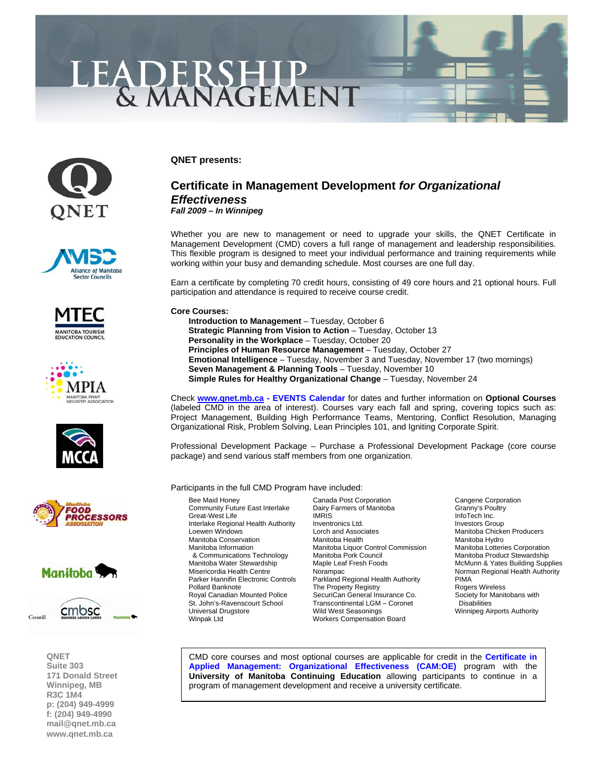# LEADERSHIP<br>& MANAGEMENT

















**QNET Suite 303 171 Donald Street Winnipeg, MB R3C 1M4 p: (204) 949-4999 f: (204) 949-4990 [mail@qnet.mb.ca](mailto:mail@qnet.mb.ca)  [www.qnet.mb.ca](http://www.qnet.mb.ca)** 

**QNET presents:** 

## **Certificate in Management Development** *for Organizational Effectiveness Fall 2009 – In Winnipeg*

Whether you are new to management or need to upgrade your skills, the QNET Certificate in Management Development (CMD) covers a full range of management and leadership responsibilities. This flexible program is designed to meet your individual performance and training requirements while working within your busy and demanding schedule. Most courses are one full day.

Earn a certificate by completing 70 credit hours, consisting of 49 core hours and 21 optional hours. Full participation and attendance is required to receive course credit.

## **Core Courses:**

 **[Introduction to Management](http://www.qnet.mb.ca/events2006/0%2009%20Oct%206%20Intro%20to%20Management.pdf)** – Tuesday, October 6 **[Strategic Planning from Vision to Action](http://www.qnet.mb.ca/events2006/0%2009%20Oct%2013%20Strategic%20Planning.pdf)** – Tuesday, October 13 **[Personality in the Workplace](http://www.qnet.mb.ca/events2006/0%2009%20Oct%2020%20Personality%20in%20the%20Workplace.pdf)** – Tuesday, October 20 **[Principles of Human Resource Management](http://www.qnet.mb.ca/events2006/0%2009%20Oct%2027%20Principles%20of%20HR.pdf)** – Tuesday, October 27 **Emotional Intelligence** [– Tuesday, November 3 and Tuesday, November 17 \(two mornings\)](http://www.qnet.mb.ca/events2006/0%2009%20Nov%203%20&%2017%20Emotional%20Intelligence.pdf)  **[Seven Management & Planning Tools](http://www.qnet.mb.ca/events2006/0%2009%20Nov%2010%20Seven%20Mgmt%20Plan%20Tools.pdf)** – Tuesday, November 10 **[Simple Rules for Healthy Organizational Change](http://www.qnet.mb.ca/events2006/0%2009%20Nov%2024%20Simple%20Rules.pdf)** – Tuesday, November 24

Check **[www.qnet.mb.ca -](http://www.qnet.mb.ca) [EVENTS Calendar](http://www.qnet.mb.ca/events2006/events.htm)** for dates and further information on **Optional Courses** (labeled CMD in the area of interest). Courses vary each fall and spring, covering topics such as: Project Management, Building High Performance Teams, Mentoring, Conflict Resolution, Managing Organizational Risk, Problem Solving, Lean Principles 101, and Igniting Corporate Spirit.

Professional Development Package – Purchase a Professional Development Package (core course package) and send various staff members from one organization.

### Participants in the full CMD Program have included:

Great-West Life & Communications Technology Manitoba Pork Council<br>Manitoba Water Stewardship Maple Leaf Fresh Foods Royal Canadian Mounted Police Universal Drugstore **Mild West Seasonings** Winnipeg Airports Authority<br>Winpak Ltd Winnipeg Alter Workers Compensation Board

Bee Maid Honey **Canada Post Corporation**<br>Community Future East Interlake Dairy Farmers of Manitoba **Community Sylem** Cranny's Poultry Community Future East Interlake Dairy Farmers of Manitoba Granny's Poultry For Granny's Poultry Community From<br>Great-West Life Community Function Intervention of Manitoba Interlake Regional Health Authority Inventronics Ltd. Investors Group<br>Loewen Windows Investors Lorch and Associates Manitoba Chicke Lorch and Associates **Chicken Windows Lorch and Associates Manitoba Chicken Producers**<br>Manitoba Health Manitoba Hydro Manitoba Conservation **Manitoba Health** Manitoba Hydro<br>Manitoba Information Manitoba Liquor Control Commission Manitoba Lotteries Corporation Manitoba Liquor Control Commission Manitoba Lotteries Corporation<br>Manitoba Pork Council Commission Manitoba Product Stewardship Misericordia Health Centre **Norampac** Norampac Norman Regional Health Authority<br>19 Parker Hannifin Electronic Controls Parkland Regional Health Authority PIMA Parkland Regional Health Authority PIMA<br>
The Property Registry **Controls Parkland Registry** Rogers Wireless Pollard Banknote The Property Registry Consumer Degers Wireless<br>The Property Registry Consumer Corports Society for Manitobans with St. John's-Ravenscourt School Transcontinental LGM – Coronet Disabilities Workers Compensation Board

McMunn & Yates Building Supplies

[CMD core courses and most optional courses are applicable for credit in the](http://www.qnet.mb.ca/events2003/events_cert%20in%20applied%20mgmt.htm) **Certificate in Applied Management: Organizational Effectiveness (CAM:OE)** program with the **University of Manitoba Continuing Education** allowing participants to continue in a program of management development and receive a university certificate.